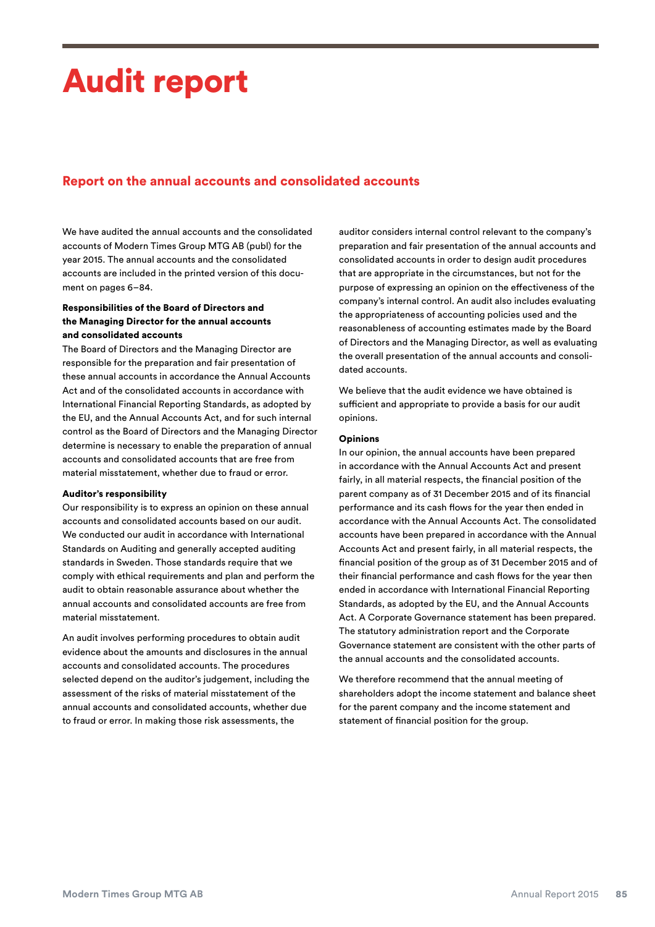# Audit report

# Report on the annual accounts and consolidated accounts

We have audited the annual accounts and the consolidated accounts of Modern Times Group MTG AB (publ) for the year 2015. The annual accounts and the consolidated accounts are included in the printed version of this document on pages 6–84.

## Responsibilities of the Board of Directors and the Managing Director for the annual accounts and consolidated accounts

The Board of Directors and the Managing Director are responsible for the preparation and fair presentation of these annual accounts in accordance the Annual Accounts Act and of the consolidated accounts in accordance with International Financial Reporting Standards, as adopted by the EU, and the Annual Accounts Act, and for such internal control as the Board of Directors and the Managing Director determine is necessary to enable the preparation of annual accounts and consolidated accounts that are free from material misstatement, whether due to fraud or error.

#### Auditor's responsibility

Our responsibility is to express an opinion on these annual accounts and consolidated accounts based on our audit. We conducted our audit in accordance with International Standards on Auditing and generally accepted auditing standards in Sweden. Those standards require that we comply with ethical requirements and plan and perform the audit to obtain reasonable assurance about whether the annual accounts and consolidated accounts are free from material misstatement.

An audit involves performing procedures to obtain audit evidence about the amounts and disclosures in the annual accounts and consolidated accounts. The procedures selected depend on the auditor's judgement, including the assessment of the risks of material misstatement of the annual accounts and consolidated accounts, whether due to fraud or error. In making those risk assessments, the

auditor considers internal control relevant to the company's preparation and fair presentation of the annual accounts and consolidated accounts in order to design audit procedures that are appropriate in the circumstances, but not for the purpose of expressing an opinion on the effectiveness of the company's internal control. An audit also includes evaluating the appropriateness of accounting policies used and the reasonableness of accounting estimates made by the Board of Directors and the Managing Director, as well as evaluating the overall presentation of the annual accounts and consolidated accounts.

We believe that the audit evidence we have obtained is sufficient and appropriate to provide a basis for our audit opinions.

#### Opinions

In our opinion, the annual accounts have been prepared in accordance with the Annual Accounts Act and present fairly, in all material respects, the financial position of the parent company as of 31 December 2015 and of its financial performance and its cash flows for the year then ended in accordance with the Annual Accounts Act. The consolidated accounts have been prepared in accordance with the Annual Accounts Act and present fairly, in all material respects, the financial position of the group as of 31 December 2015 and of their financial performance and cash flows for the year then ended in accordance with International Financial Reporting Standards, as adopted by the EU, and the Annual Accounts Act. A Corporate Governance statement has been prepared. The statutory administration report and the Corporate Governance statement are consistent with the other parts of the annual accounts and the consolidated accounts.

We therefore recommend that the annual meeting of shareholders adopt the income statement and balance sheet for the parent company and the income statement and statement of financial position for the group.